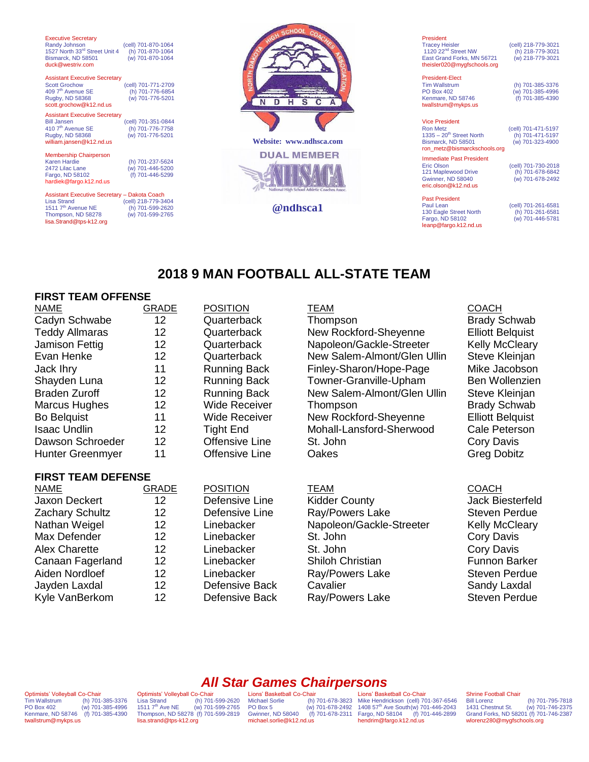| <b>Executive Secretary</b><br>Randy Johnson<br>1527 North 33rd Street Unit 4<br>Bismarck, ND 58501<br>duck@westriv.com                      | (cell) 701-870-1064<br>(h) 701-870-1064<br>(w) 701-870-1064 |   |
|---------------------------------------------------------------------------------------------------------------------------------------------|-------------------------------------------------------------|---|
| <b>Assistant Executive Secretary</b><br><b>Scott Grochow</b><br>409 7 <sup>th</sup> Avenue SE<br>Rugby, ND 58368<br>scott.grochow@k12.nd.us | (cell) 701-771-2709<br>(h) 701-776-6854<br>(w) 701-776-5201 |   |
| <b>Assistant Executive Secretary</b><br><b>Bill Jansen</b><br>410 7 <sup>th</sup> Avenue SE<br>Rugby, ND 58368<br>william.jansen@k12.nd.us  | (cell) 701-351-0844<br>(h) 701-776-7758<br>(w) 701-776-5201 | v |
| <b>Membership Chairperson</b><br><b>Karen Hardie</b><br>2472 Lilac Lane<br>Fargo, ND 58102<br>hardiek@fargo.k12.nd.us                       | (h) 701-237-5624<br>(w) 701-446-5200<br>(f) 701-446-5299    |   |
| Assistant Executive Secretary - Dakota Coach<br><b>Lisa Strand</b><br>1511 7 <sup>th</sup> Avenue NE                                        | (cell) 218-779-3404<br>(h) 701-599-2620                     |   |

 $\vec{s}$  $\overline{\text{c}}$ D  $H$ Ā **Website: www.ndhsca.com DUAL MEMBER @ndhsca1**

President<br>Tracey Heisler (cell) 218-779-3021<br>(h) 218-779-3021 1120 22<sup>nd</sup> Street NW (h) 218-779-3021<br>East Grand Forks, MN 56721 (w) 218-779-3021 East Grand Forks, MN 56721 theisler020@mygfschools.org

President-Elect Tim Wallstrum (h) 701-385-3376<br>PO Box 402 (w) 701-385-4996 Kenmare, ND 58746 twallstrum@mykps.us

 $\frac{200}{10}$  701-385-4996<br>(f) 701-385-4390

**Vice President**<br>Ron Metz (cell) 701-471-5197<br>(h) 701-471-5197 1335 – 20<sup>th</sup> Street North (h) 701-471-5197<br>Bismarck. ND 58501 (w) 701-323-4900  $Bismarck, ND<sub>58501</sub>$ ron\_metz@bismarckschools.org

Immediate Past President<br>Eric Olson 121 Maplewood Drive<br>Gwinner, ND 58040 [eric.olson@k12.nd.us](mailto:eric.olson@k12.nd.us)

Past President<br>Paul Lean 130 Eagle Street North<br>Fargo, ND 58102 leanp@fargo.k12.nd.us (w) 701-678-2492

(cell) 701-730-2018<br>(h) 701-678-6842

(cell) 701-261-6581<br>(h) 701-261-6581  $(w)$  701-446-5781

## **2018 9 MAN FOOTBALL ALL-STATE TEAM**

### **FIRST TEAM OFFENSE**

[lisa.Strand@tps-k12.org](mailto:lisa.Strand@tps-k12.org)

Thompson, ND 58278 (w) 701-599-2765

| <b>NAME</b>             | <b>GRADE</b> | <b>POSITION</b>      | <b>TEAM</b>                 | <b>COACH</b>     |
|-------------------------|--------------|----------------------|-----------------------------|------------------|
| Cadyn Schwabe           | 12           | Quarterback          | Thompson                    | Brady S          |
| <b>Teddy Allmaras</b>   | 12           | Quarterback          | New Rockford-Sheyenne       | <b>Elliott B</b> |
| Jamison Fettig          | 12           | Quarterback          | Napoleon/Gackle-Streeter    | <b>Kelly M</b>   |
| Evan Henke              | 12           | Quarterback          | New Salem-Almont/Glen Ullin | Steve <b>k</b>   |
| Jack Ihry               | 11           | <b>Running Back</b>  | Finley-Sharon/Hope-Page     | Mike Ja          |
| Shayden Luna            | 12           | <b>Running Back</b>  | Towner-Granville-Upham      | Ben Wo           |
| <b>Braden Zuroff</b>    | 12           | <b>Running Back</b>  | New Salem-Almont/Glen Ullin | Steve <b>k</b>   |
| Marcus Hughes           | 12           | <b>Wide Receiver</b> | Thompson                    | Brady S          |
| <b>Bo Belquist</b>      | 11           | <b>Wide Receiver</b> | New Rockford-Sheyenne       | <b>Elliott B</b> |
| <b>Isaac Undlin</b>     | 12           | <b>Tight End</b>     | Mohall-Lansford-Sherwood    | Cale Pe          |
| Dawson Schroeder        | 12           | Offensive Line       | St. John                    | Cory D           |
| <b>Hunter Greenmyer</b> | 11           | Offensive Line       | Oakes                       | Greg D           |

### **FIRST TEAM DEFENSE**

| <b>GRADE</b> | <b>POSITION</b> | <b>TEAM</b>              | <b>COACH</b>      |
|--------------|-----------------|--------------------------|-------------------|
| 12           | Defensive Line  | <b>Kidder County</b>     | Jack Bieste       |
| 12           | Defensive Line  | Ray/Powers Lake          | <b>Steven Per</b> |
| 12           | Linebacker      | Napoleon/Gackle-Streeter | Kelly McCl        |
| 12           | Linebacker      | St. John                 | <b>Cory Davis</b> |
| 12           | Linebacker      | St. John                 | <b>Cory Davis</b> |
| 12           | Linebacker      | Shiloh Christian         | Funnon Ba         |
| 12           | Linebacker      | Ray/Powers Lake          | <b>Steven Per</b> |
| 12           | Defensive Back  | Cavalier                 | Sandy Lax         |
| 12           | Defensive Back  | Ray/Powers Lake          | <b>Steven Per</b> |
|              |                 |                          |                   |

| <b>POSITION</b> |
|-----------------|
| Defensive Line  |
| Defensive Line  |
| Linebacker      |
| Linebacker      |
| Linebacker      |
| Linebacker      |
| Linebacker      |
| Defensive Back  |
| Defensive Back  |

2 Quarterback Thompson Brady Schwab 2 Duarterback New Rockford-Sheyenne Elliott Belquist<br>2 Quarterback Napoleon/Gackle-Streeter Kelly McCleary Quarterback Napoleon/Gackle-Streeter Kelly McCleary 2 Cuarterback New Salem-Almont/Glen Ullin Steve Kleinjan 1 **Interpris Inter-Sharon/Hope-Page Mike Jacobson** 2 **Shawawa 12 Running Back Towner-Granville-Upham Ben Wollenzien** 2 Braden Running Back New Salem-Almont/Glen Ullin Steve Kleinian 2 Mide Receiver Thompson Brady Schwab Wide Receiver 11 New Rockford-Sheyenne Elliott Belquist 2 Tight End Mohall-Lansford-Sherwood Cale Peterson 2 Offensive Line St. John Cory Davis Offensive Line Cakes Care Greg Dobitz

> Kidder County **County** Jack Biesterfeld Rav/Powers Lake Steven Perdue Napoleon/Gackle-Streeter Kelly McCleary Shiloh Christian Funnon Barker Ray/Powers Lake Steven Perdue Cavalier **Cavalier** Cavalier Sandy Laxdal Ray/Powers Lake Steven Perdue

## *All Star Games Chairpersons*

Optimists' Volleyball Co-Chair<br>Tim Wallstrum (h) 701 Tim Wallstrum (h) 701-385-3376<br>PO Box 402 (w) 701-385-4996 (w) 701-385-4996<br>(f) 701-385-4390 Renmare, ND 58746 twallstrum@mykps.us

Optimists' Volleyball Co-Chair<br>Lisa Strand (h) 701 (h) 701-599-2620<br>(w) 701-599-2765  $1511 7<sup>th</sup>$  Ave NE Thompson, ND 58278 (f) 701-599-2819 [lisa.strand@tps-k12.org](mailto:Lisa.Strand@tps-k12.org)

Lions' Basketball Co-Chair<br>Michael Sorlie (h) Michael Sorlie (h) 701-678-3823<br>PO Box 5 (w) 701-678-2492  $(w)$  701-678-2492<br>(f) 701-678-2311 Gwinner, ND 58040 michael.sorlie@k12.nd.us

Lions' Basketball Co-Chair Mike Hendrickson (cell) 701-367-6546<br>1408 57<sup>th</sup> Ave South(w) 701-446-2043 Fargo, ND 58104 (f) 701-446-2899 hendrim@fargo.k12.nd.us

### Shrine Football Chair<br>Bill Lorenz

Bill Lorenz (h) 701-795-7818 1431 Chestnut St. (w) 701-746-2375 Grand Forks, ND 58201 (f) 701-746-2387 wlorenz280@mygfschools.org